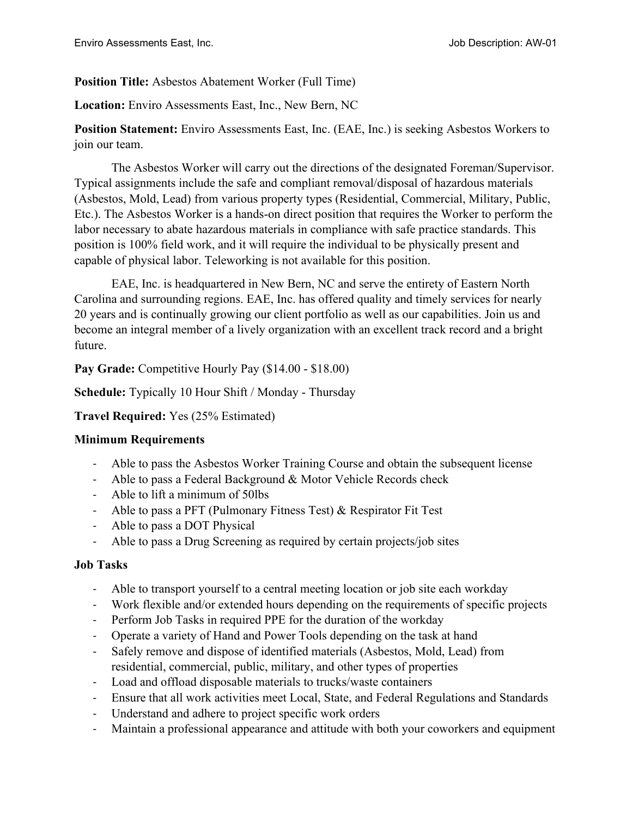# **Position Title:** Asbestos Abatement Worker (Full Time)

**Location:** Enviro Assessments East, Inc., New Bern, NC

**Position Statement:** Enviro Assessments East, Inc. (EAE, Inc.) is seeking Asbestos Workers to join our team.

The Asbestos Worker will carry out the directions of the designated Foreman/Supervisor. Typical assignments include the safe and compliant removal/disposal of hazardous materials (Asbestos, Mold, Lead) from various property types (Residential, Commercial, Military, Public, Etc.). The Asbestos Worker is a hands-on direct position that requires the Worker to perform the labor necessary to abate hazardous materials in compliance with safe practice standards. This position is 100% field work, and it will require the individual to be physically present and capable of physical labor. Teleworking is not available for this position.

EAE, Inc. is headquartered in New Bern, NC and serve the entirety of Eastern North Carolina and surrounding regions. EAE, Inc. has offered quality and timely services for nearly 20 years and is continually growing our client portfolio as well as our capabilities. Join us and become an integral member of a lively organization with an excellent track record and a bright future.

Pay Grade: Competitive Hourly Pay (\$14.00 - \$18.00)

**Schedule:** Typically 10 Hour Shift / Monday - Thursday

# **Travel Required:** Yes (25% Estimated)

# **Minimum Requirements**

- Able to pass the Asbestos Worker Training Course and obtain the subsequent license
- Able to pass a Federal Background  $&$  Motor Vehicle Records check
- Able to lift a minimum of 50lbs
- Able to pass a PFT (Pulmonary Fitness Test) & Respirator Fit Test
- Able to pass a DOT Physical
- Able to pass a Drug Screening as required by certain projects/job sites

# **Job Tasks**

- Able to transport yourself to a central meeting location or job site each workday
- Work flexible and/or extended hours depending on the requirements of specific projects
- Perform Job Tasks in required PPE for the duration of the workday
- Operate a variety of Hand and Power Tools depending on the task at hand
- Safely remove and dispose of identified materials (Asbestos, Mold, Lead) from residential, commercial, public, military, and other types of properties
- Load and offload disposable materials to trucks/waste containers
- Ensure that all work activities meet Local, State, and Federal Regulations and Standards
- Understand and adhere to project specific work orders
- Maintain a professional appearance and attitude with both your coworkers and equipment